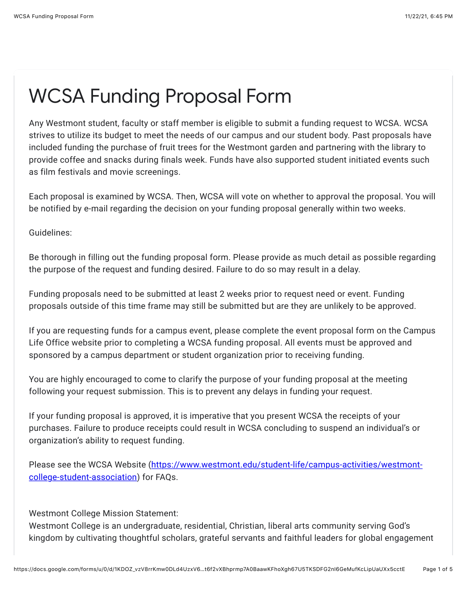## WCSA Funding Proposal Form

Any Westmont student, faculty or staff member is eligible to submit a funding request to WCSA. WCSA strives to utilize its budget to meet the needs of our campus and our student body. Past proposals have included funding the purchase of fruit trees for the Westmont garden and partnering with the library to provide coffee and snacks during finals week. Funds have also supported student initiated events such as film festivals and movie screenings.

Each proposal is examined by WCSA. Then, WCSA will vote on whether to approval the proposal. You will be notified by e-mail regarding the decision on your funding proposal generally within two weeks.

Guidelines:

Be thorough in filling out the funding proposal form. Please provide as much detail as possible regarding the purpose of the request and funding desired. Failure to do so may result in a delay.

Funding proposals need to be submitted at least 2 weeks prior to request need or event. Funding proposals outside of this time frame may still be submitted but are they are unlikely to be approved.

If you are requesting funds for a campus event, please complete the event proposal form on the Campus Life Office website prior to completing a WCSA funding proposal. All events must be approved and sponsored by a campus department or student organization prior to receiving funding.

You are highly encouraged to come to clarify the purpose of your funding proposal at the meeting following your request submission. This is to prevent any delays in funding your request.

If your funding proposal is approved, it is imperative that you present WCSA the receipts of your purchases. Failure to produce receipts could result in WCSA concluding to suspend an individual's or organization's ability to request funding.

[Please see the WCSA Website \(https://www.westmont.edu/student-life/campus-activities/westmont](https://www.google.com/url?q=https://www.westmont.edu/student-life/campus-activities/westmont-college-student-association&sa=D&source=editors&ust=1637639138511000&usg=AOvVaw1CmbY1ke1JyYSh3JZz047T)college-student-association) for FAQs.

Westmont College Mission Statement:

Westmont College is an undergraduate, residential, Christian, liberal arts community serving God's kingdom by cultivating thoughtful scholars, grateful servants and faithful leaders for global engagement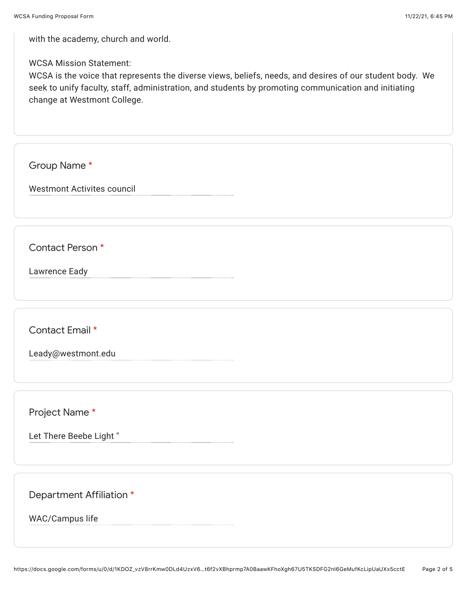with the academy, church and world.

WCSA Mission Statement:

WCSA is the voice that represents the diverse views, beliefs, needs, and desires of our student body. We seek to unify faculty, staff, administration, and students by promoting communication and initiating change at Westmont College.

Group Name \*

Westmont Activites council

Contact Person \*

Lawrence Eady

Contact Email \*

Leady@westmont.edu

Project Name \*

Let There Beebe Light "

Department Affiliation \*

WAC/Campus life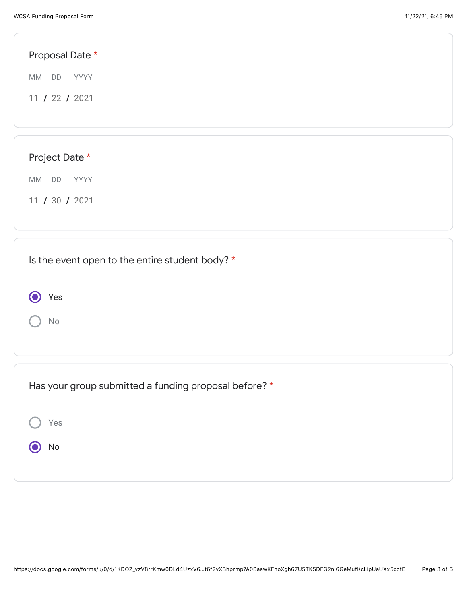| Proposal Date *                                 |  |  |
|-------------------------------------------------|--|--|
| YYYY<br>MM<br>DD                                |  |  |
| 11 / 22 / 2021                                  |  |  |
|                                                 |  |  |
| Project Date *                                  |  |  |
| MM DD<br>YYYY                                   |  |  |
| 11 / 30 / 2021                                  |  |  |
|                                                 |  |  |
| Is the event open to the entire student body? * |  |  |
| Yes                                             |  |  |

No

| Has your group submitted a funding proposal before? * |
|-------------------------------------------------------|
| Yes                                                   |
| No                                                    |
|                                                       |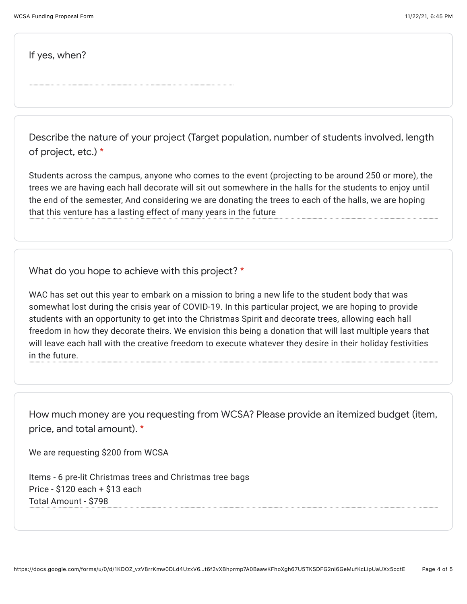If yes, when?

Describe the nature of your project (Target population, number of students involved, length of project, etc.) \*

Students across the campus, anyone who comes to the event (projecting to be around 250 or more), the trees we are having each hall decorate will sit out somewhere in the halls for the students to enjoy until the end of the semester, And considering we are donating the trees to each of the halls, we are hoping that this venture has a lasting effect of many years in the future

What do you hope to achieve with this project? \*

WAC has set out this year to embark on a mission to bring a new life to the student body that was somewhat lost during the crisis year of COVID-19. In this particular project, we are hoping to provide students with an opportunity to get into the Christmas Spirit and decorate trees, allowing each hall freedom in how they decorate theirs. We envision this being a donation that will last multiple years that will leave each hall with the creative freedom to execute whatever they desire in their holiday festivities in the future.

How much money are you requesting from WCSA? Please provide an itemized budget (item, price, and total amount). \*

We are requesting \$200 from WCSA

Items - 6 pre-lit Christmas trees and Christmas tree bags Price - \$120 each + \$13 each Total Amount - \$798